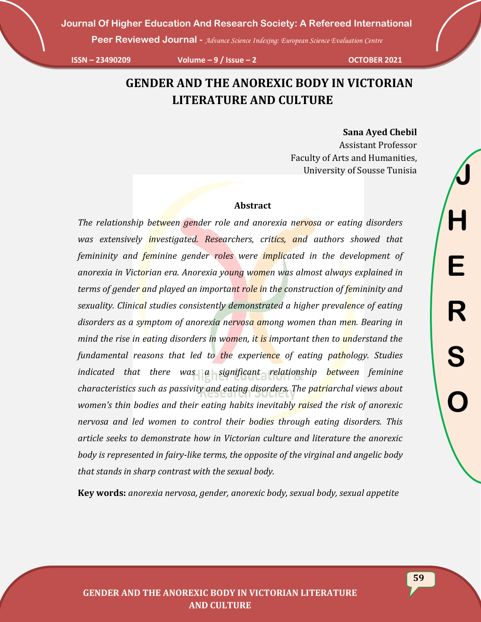**Peer Reviewed Journal -** *Advance Science Indexing: European Science Evaluation Centre*

**ISSN – 23490209 Volume – 9 / Issue – 2 OCTOBER 2021**

## **GENDER AND THE ANOREXIC BODY IN VICTORIAN LITERATURE AND CULTURE**

#### **Sana Ayed Chebil**

Assistant Professor Faculty of Arts and Humanities, University of Sousse Tunisia

#### **Abstract**

*The relationship between gender role and anorexia nervosa or eating disorders was extensively investigated. Researchers, critics, and authors showed that femininity and feminine gender roles were implicated in the development of anorexia in Victorian era. Anorexia young women was almost always explained in terms of gender and played an important role in the construction of femininity and sexuality. Clinical studies consistently demonstrated a higher prevalence of eating disorders as a symptom of anorexia nervosa among women than men. Bearing in mind the rise in eating disorders in women, it is important then to understand the fundamental reasons that led to the experience of eating pathology. Studies indicated that there was a significant relationship between feminine characteristics such as passivity and eating disorders. The patriarchal views about women's thin bodies and their eating habits inevitably raised the risk of anorexic nervosa and led women to control their bodies through eating disorders. This article seeks to demonstrate how in Victorian culture and literature the anorexic body is represented in fairy-like terms, the opposite of the virginal and angelic body that stands in sharp contrast with the sexual body.*

**Key words:** *anorexia nervosa, gender, anorexic body, sexual body, sexual appetite*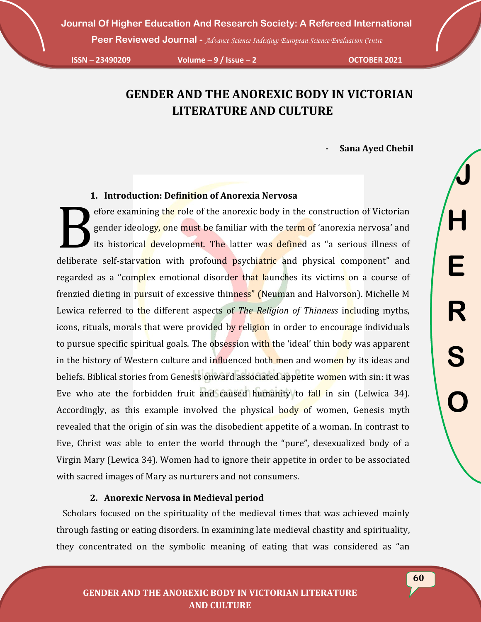**Peer Reviewed Journal -** *Advance Science Indexing: European Science Evaluation Centre*

**ISSN – 23490209 Volume – 9 / Issue – 2 OCTOBER 2021**

# **GENDER AND THE ANOREXIC BODY IN VICTORIAN LITERATURE AND CULTURE**

**- Sana Ayed Chebil**

## **1. Introduction: Definition of Anorexia Nervosa**

efore examining the role of the anorexic body in the construction of Victorian gender ideology, one must be familiar with the term of 'anorexia nervosa' and its historical development. The latter was defined as "a serious illness of deliberate self-starvation with profound psychiatric and physical component" and regarded as a "complex emotional disorder that launches its victims on a course of frenzied dieting in pursuit of excessive thinness" (Neuman and Halvorson). Michelle M Lewica referred to the different aspects of *The Religion of Thinness* including myths, icons, rituals, morals that were provided by religion in order to encourage individuals to pursue specific spiritual goals. The obsession with the 'ideal' thin body was apparent in the history of Western culture and influenced both men and women by its ideas and beliefs. Biblical stories from Genesis onward associated appetite women with sin: it was Eve who ate the forbidden fruit and caused humanity to fall in sin (Lelwica 34). Accordingly, as this example involved the physical body of women, Genesis myth revealed that the origin of sin was the disobedient appetite of a woman. In contrast to Eve, Christ was able to enter the world through the "pure", desexualized body of a Virgin Mary (Lewica 34). Women had to ignore their appetite in order to be associated with sacred images of Mary as nurturers and not consumers. B

## **2. Anorexic Nervosa in Medieval period**

 Scholars focused on the spirituality of the medieval times that was achieved mainly through fasting or eating disorders. In examining late medieval chastity and spirituality, they concentrated on the symbolic meaning of eating that was considered as "an **J**

**H**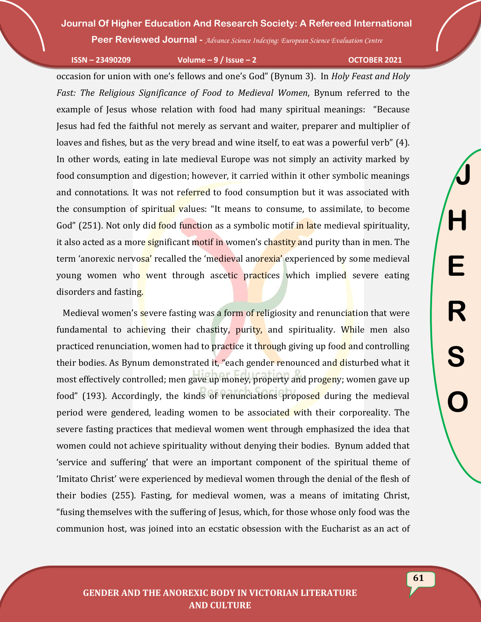**Peer Reviewed Journal -** *Advance Science Indexing: European Science Evaluation Centre*

**ISSN – 23490209 Volume – 9 / Issue – 2 OCTOBER 2021**

**J**

**H**

**E**

**R**

**S**

**O**

occasion for union with one's fellows and one's God" (Bynum 3). In *Holy Feast and Holy Fast: The Religious Significance of Food to Medieval Women*, Bynum referred to the example of Jesus whose relation with food had many spiritual meanings: "Because Jesus had fed the faithful not merely as servant and waiter, preparer and multiplier of loaves and fishes, but as the very bread and wine itself, to eat was a powerful verb" (4). In other words, eating in late medieval Europe was not simply an activity marked by food consumption and digestion; however, it carried within it other symbolic meanings and connotations. It was not referred to food consumption but it was associated with the consumption of spiritual values: "It means to consume, to assimilate, to become God" (251). Not only did food function as a symbolic motif in late medieval spirituality, it also acted as a more significant motif in women's chastity and purity than in men. The term 'anorexic nervosa' recalled the 'medieval anorexia' experienced by some medieval young women who went through ascetic practices which implied severe eating disorders and fasting.

Medieval women's severe fasting was a form of religiosity and renunciation that were fundamental to achieving their chastity, purity, and spirituality. While men also practiced renunciation, women had to practice it through giving up food and controlling their bodies. As Bynum demonstrated it, "each gender renounced and disturbed what it most effectively controlled; men gave up money, property and progeny; women gave up food" (193). Accordingly, the kinds of renunciations proposed during the medieval period were gendered, leading women to be associated with their corporeality. The severe fasting practices that medieval women went through emphasized the idea that women could not achieve spirituality without denying their bodies. Bynum added that 'service and suffering' that were an important component of the spiritual theme of 'Imitato Christ' were experienced by medieval women through the denial of the flesh of their bodies (255). Fasting, for medieval women, was a means of imitating Christ, "fusing themselves with the suffering of Jesus, which, for those whose only food was the communion host, was joined into an ecstatic obsession with the Eucharist as an act of

**61**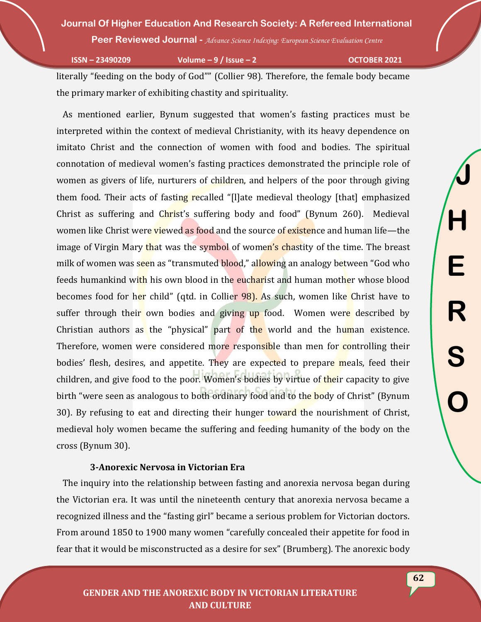**Peer Reviewed Journal -** *Advance Science Indexing: European Science Evaluation Centre*

**ISSN – 23490209 Volume – 9 / Issue – 2 OCTOBER 2021**

literally "feeding on the body of God"" (Collier 98). Therefore, the female body became the primary marker of exhibiting chastity and spirituality.

 As mentioned earlier, Bynum suggested that women's fasting practices must be interpreted within the context of medieval Christianity, with its heavy dependence on imitato Christ and the connection of women with food and bodies. The spiritual connotation of medieval women's fasting practices demonstrated the principle role of women as givers of life, nurturers of children, and helpers of the poor through giving them food. Their acts of fasting recalled "[I]ate medieval theology [that] emphasized Christ as suffering and Christ's suffering body and food" (Bynum 260). Medieval women like Christ were viewed as food and the source of existence and human life—the image of Virgin Mary that was the symbol of women's chastity of the time. The breast milk of women was seen as "transmuted blood," allowing an analogy between "God who feeds humankind with his own blood in the eucharist and human mother whose blood becomes food for her child" (qtd. in Collier 98). As such, women like Christ have to suffer through their own bodies and giving up food. Women were described by Christian authors as the "physical" part of the world and the human existence. Therefore, women were considered more responsible than men for controlling their bodies' flesh, desires, and appetite. They are expected to prepare meals, feed their children, and give food to the poor. Women's bodies by virtue of their capacity to give birth "were seen as analogous to both ordinary food and to the body of Christ" (Bynum 30). By refusing to eat and directing their hunger toward the nourishment of Christ, medieval holy women became the suffering and feeding humanity of the body on the cross (Bynum 30).

## **3-Anorexic Nervosa in Victorian Era**

 The inquiry into the relationship between fasting and anorexia nervosa began during the Victorian era. It was until the nineteenth century that anorexia nervosa became a recognized illness and the "fasting girl" became a serious problem for Victorian doctors. From around 1850 to 1900 many women "carefully concealed their appetite for food in fear that it would be misconstructed as a desire for sex" (Brumberg). The anorexic body

**GENDER AND THE ANOREXIC BODY IN VICTORIAN LITERATURE AND CULTURE**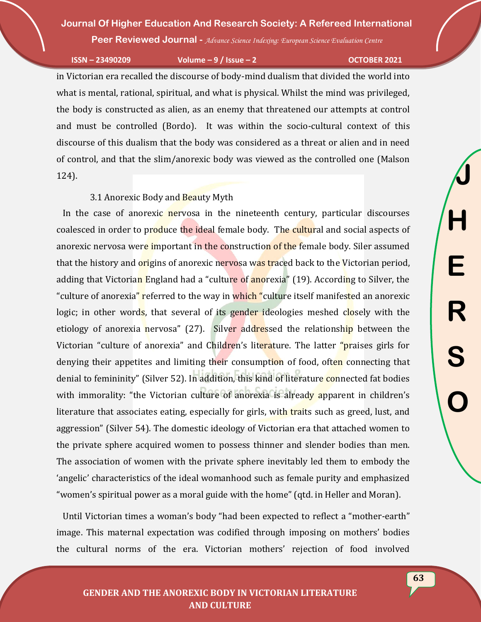**Peer Reviewed Journal -** *Advance Science Indexing: European Science Evaluation Centre*

**ISSN – 23490209 Volume – 9 / Issue – 2 OCTOBER 2021**

**J**

**H**

**E**

**R**

**S**

**O**

in Victorian era recalled the discourse of body-mind dualism that divided the world into what is mental, rational, spiritual, and what is physical. Whilst the mind was privileged, the body is constructed as alien, as an enemy that threatened our attempts at control and must be controlled (Bordo). It was within the socio-cultural context of this discourse of this dualism that the body was considered as a threat or alien and in need of control, and that the slim/anorexic body was viewed as the controlled one (Malson 124).

#### 3.1 Anorexic Body and Beauty Myth

 In the case of anorexic nervosa in the nineteenth century, particular discourses coalesced in order to produce the ideal female body. The cultural and social aspects of anorexic nervosa were important in the construction of the female body. Siler assumed that the history and origins of anorexic nervosa was traced back to the Victorian period, adding that Victorian England had a "culture of anorexia" (19). According to Silver, the "culture of anorexia" referred to the way in which "culture itself manifested an anorexic logic; in other words, that several of its gender ideologies meshed closely with the etiology of anorexia nervosa" (27). Silver addressed the relationship between the Victorian "culture of anorexia" and Children's literature. The latter "praises girls for denying their appetites and limiting their consumption of food, often connecting that denial to femininity" (Silver 52). In addition, this kind of literature connected fat bodies with immorality: "the Victorian culture of anorexia is already apparent in children's literature that associates eating, especially for girls, with traits such as greed, lust, and aggression" (Silver 54). The domestic ideology of Victorian era that attached women to the private sphere acquired women to possess thinner and slender bodies than men. The association of women with the private sphere inevitably led them to embody the 'angelic' characteristics of the ideal womanhood such as female purity and emphasized "women's spiritual power as a moral guide with the home" (qtd. in Heller and Moran).

 Until Victorian times a woman's body "had been expected to reflect a "mother-earth" image. This maternal expectation was codified through imposing on mothers' bodies the cultural norms of the era. Victorian mothers' rejection of food involved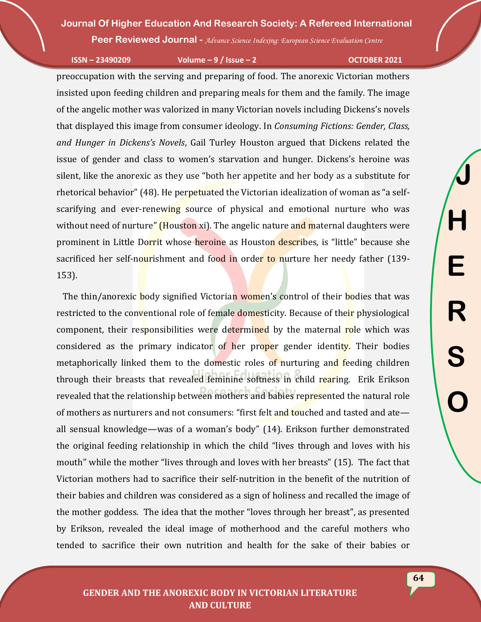**Peer Reviewed Journal -** *Advance Science Indexing: European Science Evaluation Centre*

**ISSN – 23490209 Volume – 9 / Issue – 2 OCTOBER 2021**

**J**

**H**

**E**

**R**

**S**

**O**

preoccupation with the serving and preparing of food. The anorexic Victorian mothers insisted upon feeding children and preparing meals for them and the family. The image of the angelic mother was valorized in many Victorian novels including Dickens's novels that displayed this image from consumer ideology. In *Consuming Fictions: Gender, Class, and Hunger in Dickens's Novels*, Gail Turley Houston argued that Dickens related the issue of gender and class to women's starvation and hunger. Dickens's heroine was silent, like the anorexic as they use "both her appetite and her body as a substitute for rhetorical behavior" (48). He perpetuated the Victorian idealization of woman as "a selfscarifying and ever-renewing source of physical and emotional nurture who was without need of nurture" (Houston xi). The angelic nature and maternal daughters were prominent in Little Dorrit whose heroine as Houston describes, is "little" because she sacrificed her self-nourishment and food in order to nurture her needy father (139-153).

The thin/anorexic body signified Victorian women's control of their bodies that was restricted to the conventional role of female domesticity. Because of their physiological component, their responsibilities were determined by the maternal role which was considered as the primary indicator of her proper gender identity. Their bodies metaphorically linked them to the domestic roles of nurturing and feeding children through their breasts that revealed feminine softness in child rearing. Erik Erikson revealed that the relationship between mothers and babies represented the natural role of mothers as nurturers and not consumers: "first felt and touched and tasted and ate all sensual knowledge—was of a woman's body" (14). Erikson further demonstrated the original feeding relationship in which the child "lives through and loves with his mouth" while the mother "lives through and loves with her breasts" (15). The fact that Victorian mothers had to sacrifice their self-nutrition in the benefit of the nutrition of their babies and children was considered as a sign of holiness and recalled the image of the mother goddess. The idea that the mother "loves through her breast", as presented by Erikson, revealed the ideal image of motherhood and the careful mothers who tended to sacrifice their own nutrition and health for the sake of their babies or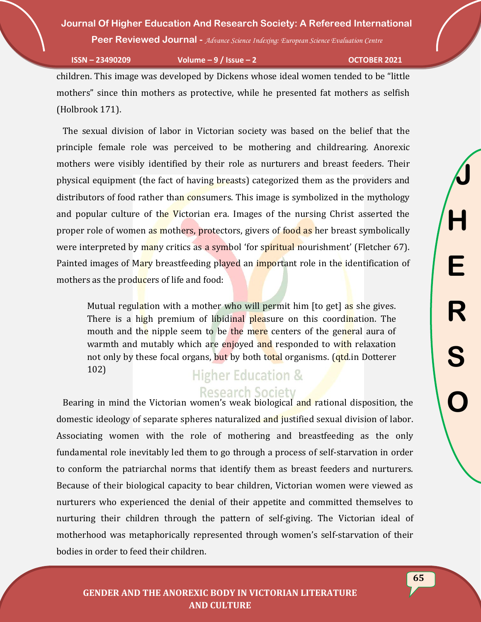**Peer Reviewed Journal -** *Advance Science Indexing: European Science Evaluation Centre*

**ISSN – 23490209 Volume – 9 / Issue – 2 OCTOBER 2021**

children. This image was developed by Dickens whose ideal women tended to be "little mothers" since thin mothers as protective, while he presented fat mothers as selfish (Holbrook 171).

 The sexual division of labor in Victorian society was based on the belief that the principle female role was perceived to be mothering and childrearing. Anorexic mothers were visibly identified by their role as nurturers and breast feeders. Their physical equipment (the fact of having breasts) categorized them as the providers and distributors of food rather than consumers. This image is symbolized in the mythology and popular culture of the Victorian era. Images of the nursing Christ asserted the proper role of women as mothers, protectors, givers of food as her breast symbolically were interpreted by many critics as a symbol 'for spiritual nourishment' (Fletcher 67). Painted images of Mary breastfeeding played an important role in the identification of mothers as the producers of life and food:

Mutual regulation with a mother who will permit him [to get] as she gives. There is a high premium of libidinal pleasure on this coordination. The mouth and the nipple seem to be the mere centers of the general aura of warmth and mutably which are enjoyed and responded to with relaxation not only by these focal organs, but by both total organisms. (*qtd.in Dotterer* 102)

## **Higher Education & Research Society**

 Bearing in mind the Victorian women's weak biological and rational disposition, the domestic ideology of separate spheres naturalized and justified sexual division of labor. Associating women with the role of mothering and breastfeeding as the only fundamental role inevitably led them to go through a process of self-starvation in order to conform the patriarchal norms that identify them as breast feeders and nurturers. Because of their biological capacity to bear children, Victorian women were viewed as nurturers who experienced the denial of their appetite and committed themselves to nurturing their children through the pattern of self-giving. The Victorian ideal of motherhood was metaphorically represented through women's self-starvation of their bodies in order to feed their children.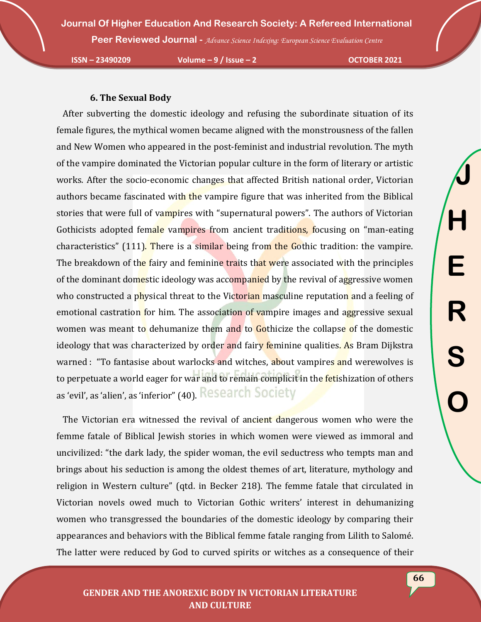**Peer Reviewed Journal -** *Advance Science Indexing: European Science Evaluation Centre*

**ISSN – 23490209 Volume – 9 / Issue – 2 OCTOBER 2021**

#### **6. The Sexual Body**

 After subverting the domestic ideology and refusing the subordinate situation of its female figures, the mythical women became aligned with the monstrousness of the fallen and New Women who appeared in the post-feminist and industrial revolution. The myth of the vampire dominated the Victorian popular culture in the form of literary or artistic works. After the socio-economic changes that affected British national order, Victorian authors became fascinated with the vampire figure that was inherited from the Biblical stories that were full of vampires with "supernatural powers". The authors of Victorian Gothicists adopted female vampires from ancient traditions, focusing on "man-eating characteristics" (111). There is a similar being from the Gothic tradition: the vampire. The breakdown of the fairy and feminine traits that were associated with the principles of the dominant domestic ideology was accompanied by the revival of aggressive women who constructed a physical threat to the Victorian masculine reputation and a feeling of emotional castration for him. The association of vampire images and aggressive sexual women was meant to dehumanize them and to Gothicize the collapse of the domestic ideology that was characterized by order and fairy feminine qualities. As Bram Dijkstra warned : "To fantasise about warlocks and witches, about vampires and werewolves is to perpetuate a world eager for war and to remain complicit in the **fet**ishization of others as 'evil', as 'alien', as 'inferior" (40). Research Society

 The Victorian era witnessed the revival of ancient dangerous women who were the femme fatale of Biblical Jewish stories in which women were viewed as immoral and uncivilized: "the dark lady, the spider woman, the evil seductress who tempts man and brings about his seduction is among the oldest themes of art, literature, mythology and religion in Western culture" (qtd. in Becker 218). The femme fatale that circulated in Victorian novels owed much to Victorian Gothic writers' interest in dehumanizing women who transgressed the boundaries of the domestic ideology by comparing their appearances and behaviors with the Biblical femme fatale ranging from Lilith to Salomé. The latter were reduced by God to curved spirits or witches as a consequence of their

## **GENDER AND THE ANOREXIC BODY IN VICTORIAN LITERATURE AND CULTURE**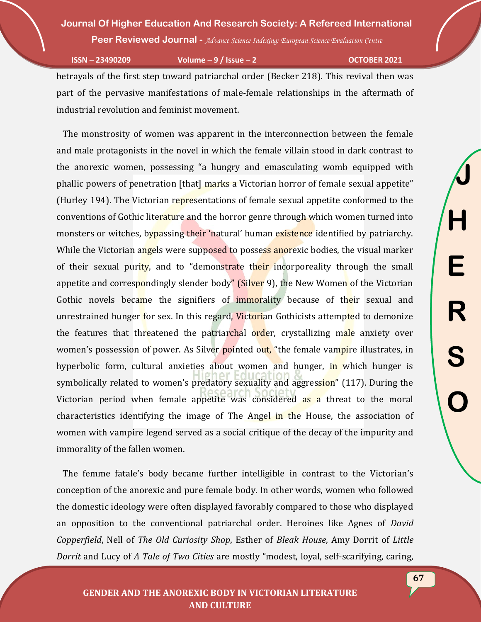**Peer Reviewed Journal -** *Advance Science Indexing: European Science Evaluation Centre*

**ISSN – 23490209 Volume – 9 / Issue – 2 OCTOBER 2021**

betrayals of the first step toward patriarchal order (Becker 218). This revival then was part of the pervasive manifestations of male-female relationships in the aftermath of industrial revolution and feminist movement.

 The monstrosity of women was apparent in the interconnection between the female and male protagonists in the novel in which the female villain stood in dark contrast to the anorexic women, possessing "a hungry and emasculating womb equipped with phallic powers of penetration [that] marks a Victorian horror of female sexual appetite" (Hurley 194). The Victorian representations of female sexual appetite conformed to the conventions of Gothic literature and the horror genre through which women turned into monsters or witches, bypassing their 'natural' human existence identified by patriarchy. While the Victorian angels were supposed to possess anorexic bodies, the visual marker of their sexual purity, and to "demonstrate their incorporeality through the small appetite and correspondingly slender body" (Silver 9), the New Women of the Victorian Gothic novels became the signifiers of **immorality** because of their sexual and unrestrained hunger for sex. In this regard, Victorian Gothicists attempted to demonize the features that threatened the patriarchal order, crystallizing male anxiety over women's possession of power. As Silver pointed out, "the female vampire illustrates, in hyperbolic form, cultural anxieties about women and hunger, in which hunger is symbolically related to women's predatory sexuality and aggression" (117). During the Victorian period when female appetite was considered as a threat to the moral characteristics identifying the image of The Angel in the House, the association of women with vampire legend served as a social critique of the decay of the impurity and immorality of the fallen women.

 The femme fatale's body became further intelligible in contrast to the Victorian's conception of the anorexic and pure female body. In other words, women who followed the domestic ideology were often displayed favorably compared to those who displayed an opposition to the conventional patriarchal order. Heroines like Agnes of *David Copperfield*, Nell of *The Old Curiosity Shop*, Esther of *Bleak House*, Amy Dorrit of *Little Dorrit* and Lucy of *A Tale of Two Cities* are mostly "modest, loyal, self-scarifying, caring,

**J**

**H**

**E**

**R**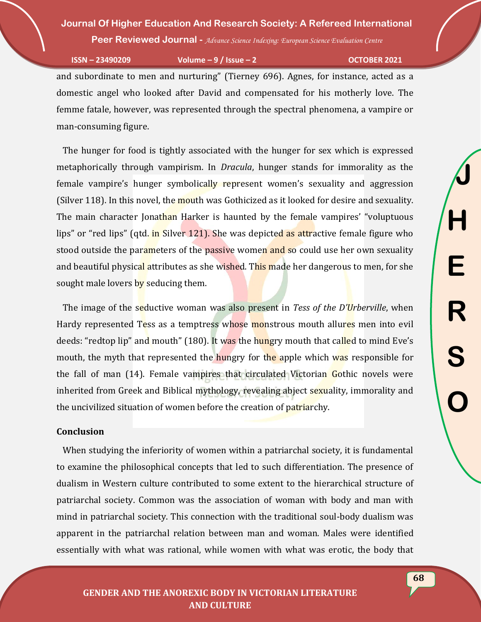**Peer Reviewed Journal -** *Advance Science Indexing: European Science Evaluation Centre*

**ISSN – 23490209 Volume – 9 / Issue – 2 OCTOBER 2021**

and subordinate to men and nurturing" (Tierney 696). Agnes, for instance, acted as a domestic angel who looked after David and compensated for his motherly love. The femme fatale, however, was represented through the spectral phenomena, a vampire or man-consuming figure.

 The hunger for food is tightly associated with the hunger for sex which is expressed metaphorically through vampirism. In *Dracula*, hunger stands for immorality as the female vampire's hunger symbolically represent women's sexuality and aggression (Silver 118). In this novel, the mouth was Gothicized as it looked for desire and sexuality. The main character Jonathan Harker is haunted by the female vampires' "voluptuous" lips" or "red lips" (qtd. in Silver 121). She was depicted as attractive female figure who stood outside the parameters of the passive women and so could use her own sexuality and beautiful physical attributes as she wished. This made her dangerous to men, for she sought male lovers by seducing them.

 The image of the seductive woman was also present in *Tess of the D'Urberville*, when Hardy represented Tess as a temptress whose monstrous mouth allures men into evil deeds: "redtop lip" and mouth" (180). It was the hungry mouth that called to mind Eve's mouth, the myth that represented the hungry for the apple which was responsible for the fall of man (14). Female vampires that circulated Victorian Gothic novels were inherited from Greek and Biblical mythology, revealing abject sexuality, immorality and the uncivilized situation of women before the creation of patriarchy.

## **Conclusion**

 When studying the inferiority of women within a patriarchal society, it is fundamental to examine the philosophical concepts that led to such differentiation. The presence of dualism in Western culture contributed to some extent to the hierarchical structure of patriarchal society. Common was the association of woman with body and man with mind in patriarchal society. This connection with the traditional soul-body dualism was apparent in the patriarchal relation between man and woman. Males were identified essentially with what was rational, while women with what was erotic, the body that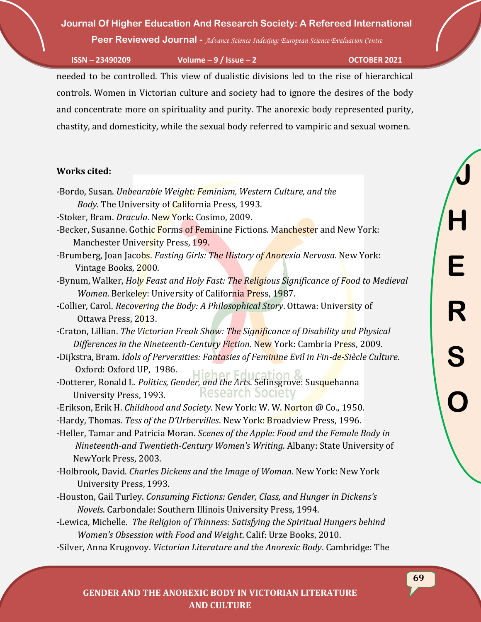**Peer Reviewed Journal -** *Advance Science Indexing: European Science Evaluation Centre*

**ISSN – 23490209 Volume – 9 / Issue – 2 OCTOBER 2021**

needed to be controlled. This view of dualistic divisions led to the rise of hierarchical controls. Women in Victorian culture and society had to ignore the desires of the body and concentrate more on spirituality and purity. The anorexic body represented purity, chastity, and domesticity, while the sexual body referred to vampiric and sexual women.

## **Works cited:**

- -Bordo, Susan. *Unbearable Weight: Feminism, Western Culture, and the Body*. The University of California Press, 1993.
- -Stoker, Bram. *Dracula*. New York: Cosimo, 2009.
- -Becker, Susanne. Gothic Forms of Feminine Fictions. Manchester and New York: Manchester University Press, 199.
- -Brumberg, Joan Jacobs. *Fasting Girls: The History of Anorexia Nervosa*. New York: Vintage Books, 2000.
- -Bynum, Walker, *Holy Feast and Holy Fast: The Religious Significance of Food to Medieval Women*. Berkeley: University of California Press, 1987.
- -Collier, Carol. *Recovering the Body: A Philosophical Story*. Ottawa: University of Ottawa Press, 2013.

-Craton, Lillian. *The Victorian Freak Show: The Significance of Disability and Physical Differences in the Nineteenth-Century Fiction*. New York: Cambria Press, 2009.

- -Dijkstra, Bram. *Idols of Perversities: Fantasies of Feminine Evil in Fin-de-Siècle Culture*. Oxford: Oxford UP, 1986. Higher Education S
- -Dotterer, Ronald L. *Politics, Gender, and the Arts*. Selinsgrove: Susquehanna **Research Society** University Press, 1993.
- -Erikson, Erik H. *Childhood and Society*. New York: W. W. Norton @ Co., 1950.

-Hardy, Thomas. *Tess of the D'Urbervilles*. New York: Broadview Press, 1996.

- -Heller, Tamar and Patricia Moran. *Scenes of the Apple: Food and the Female Body in Nineteenth-and Twentieth-Century Women's Writing*. Albany: State University of NewYork Press, 2003.
- -Holbrook, David. *Charles Dickens and the Image of Woman*. New York: New York University Press, 1993.
- -Houston, Gail Turley. *Consuming Fictions: Gender, Class, and Hunger in Dickens's Novels*. Carbondale: Southern Illinois University Press, 1994.
- -Lewica, Michelle. *The Religion of Thinness: Satisfying the Spiritual Hungers behind Women's Obsession with Food and Weight*. Calif: Urze Books, 2010.
- -Silver, Anna Krugovoy. *Victorian Literature and the Anorexic Body*. Cambridge: The